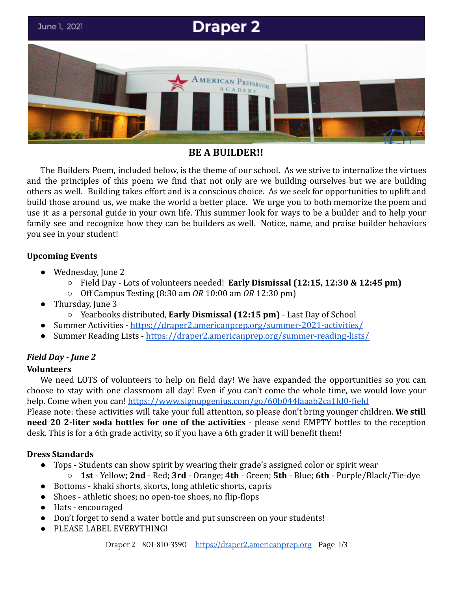

# **BE A BUILDER!!**

The Builders Poem, included below, is the theme of our school. As we strive to internalize the virtues and the principles of this poem we find that not only are we building ourselves but we are building others as well. Building takes effort and is a conscious choice. As we seek for opportunities to uplift and build those around us, we make the world a better place. We urge you to both memorize the poem and use it as a personal guide in your own life. This summer look for ways to be a builder and to help your family see and recognize how they can be builders as well. Notice, name, and praise builder behaviors you see in your student!

# **Upcoming Events**

- Wednesday, June 2
	- Field Day Lots of volunteers needed! **Early Dismissal (12:15, 12:30 & 12:45 pm)**
	- Off Campus Testing (8:30 am *OR* 10:00 am *OR* 12:30 pm)
- Thursday, June 3
	- Yearbooks distributed, **Early Dismissal (12:15 pm)** Last Day of School
- Summer Activities <https://draper2.americanprep.org/summer-2021-activities/>
- Summer Reading Lists <https://draper2.americanprep.org/summer-reading-lists/>

# *Field Day - June 2*

## **Volunteers**

We need LOTS of volunteers to help on field day! We have expanded the opportunities so you can choose to stay with one classroom all day! Even if you can't come the whole time, we would love your help. Come when you can! <https://www.signupgenius.com/go/60b044faaab2ca1fd0-field>

Please note: these activities will take your full attention, so please don't bring younger children. **We still need 20 2-liter soda bottles for one of the activities** - please send EMPTY bottles to the reception desk. This is for a 6th grade activity, so if you have a 6th grader it will benefit them!

## **Dress Standards**

- Tops Students can show spirit by wearing their grade's assigned color or spirit wear
	- **1st** Yellow; **2nd** Red; **3rd** Orange; **4th** Green; **5th** Blue; **6th** Purple/Black/Tie-dye
- Bottoms khaki shorts, skorts, long athletic shorts, capris
- Shoes athletic shoes; no open-toe shoes, no flip-flops
- Hats encouraged
- Don't forget to send a water bottle and put sunscreen on your students!
- PLEASE LABEL EVERYTHING!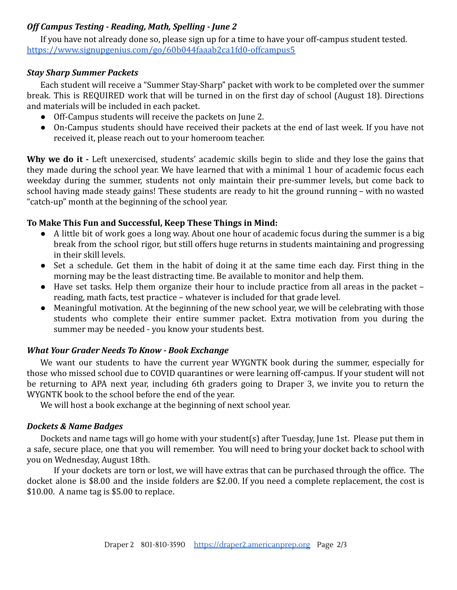# *Off Campus Testing - Reading, Math, Spelling - June 2*

If you have not already done so, please sign up for a time to have your off-campus student tested. <https://www.signupgenius.com/go/60b044faaab2ca1fd0-offcampus5>

## *Stay Sharp Summer Packets*

Each student will receive a "Summer Stay-Sharp" packet with work to be completed over the summer break. This is REQUIRED work that will be turned in on the first day of school (August 18). Directions and materials will be included in each packet.

- Off-Campus students will receive the packets on June 2.
- On-Campus students should have received their packets at the end of last week. If you have not received it, please reach out to your homeroom teacher.

**Why we do it -** Left unexercised, students' academic skills begin to slide and they lose the gains that they made during the school year. We have learned that with a minimal 1 hour of academic focus each weekday during the summer, students not only maintain their pre-summer levels, but come back to school having made steady gains! These students are ready to hit the ground running – with no wasted "catch-up" month at the beginning of the school year.

# **To Make This Fun and Successful, Keep These Things in Mind:**

- A little bit of work goes a long way. About one hour of academic focus during the summer is a big break from the school rigor, but still offers huge returns in students maintaining and progressing in their skill levels.
- Set a schedule. Get them in the habit of doing it at the same time each day. First thing in the morning may be the least distracting time. Be available to monitor and help them.
- Have set tasks. Help them organize their hour to include practice from all areas in the packet reading, math facts, test practice – whatever is included for that grade level.
- Meaningful motivation. At the beginning of the new school year, we will be celebrating with those students who complete their entire summer packet. Extra motivation from you during the summer may be needed - you know your students best.

# *What Your Grader Needs To Know - Book Exchange*

We want our students to have the current year WYGNTK book during the summer, especially for those who missed school due to COVID quarantines or were learning off-campus. If your student will not be returning to APA next year, including 6th graders going to Draper 3, we invite you to return the WYGNTK book to the school before the end of the year.

We will host a book exchange at the beginning of next school year.

## *Dockets & Name Badges*

Dockets and name tags will go home with your student(s) after Tuesday, June 1st. Please put them in a safe, secure place, one that you will remember. You will need to bring your docket back to school with you on Wednesday, August 18th.

If your dockets are torn or lost, we will have extras that can be purchased through the office. The docket alone is \$8.00 and the inside folders are \$2.00. If you need a complete replacement, the cost is \$10.00. A name tag is \$5.00 to replace.